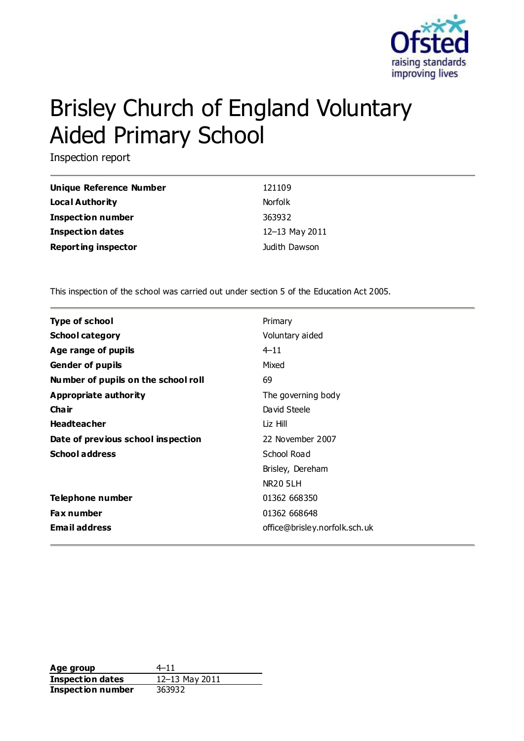

# Brisley Church of England Voluntary Aided Primary School

Inspection report

| Unique Reference Number    | 121109         |
|----------------------------|----------------|
| Local Authority            | <b>Norfolk</b> |
| <b>Inspection number</b>   | 363932         |
| Inspection dates           | 12-13 May 2011 |
| <b>Reporting inspector</b> | Judith Dawson  |

This inspection of the school was carried out under section 5 of the Education Act 2005.

| <b>Type of school</b>               | Primary                       |
|-------------------------------------|-------------------------------|
| <b>School category</b>              | Voluntary aided               |
| Age range of pupils                 | $4 - 11$                      |
| <b>Gender of pupils</b>             | Mixed                         |
| Number of pupils on the school roll | 69                            |
| Appropriate authority               | The governing body            |
| Cha ir                              | David Steele                  |
| <b>Headteacher</b>                  | Liz Hill                      |
| Date of previous school inspection  | 22 November 2007              |
| <b>School address</b>               | School Road                   |
|                                     | Brisley, Dereham              |
|                                     | <b>NR20 5LH</b>               |
| Telephone number                    | 01362 668350                  |
| <b>Fax number</b>                   | 01362 668648                  |
| <b>Email address</b>                | office@brisley.norfolk.sch.uk |

Age group  $4-11$ **Inspection dates** 12–13 May 2011 **Inspection number** 363932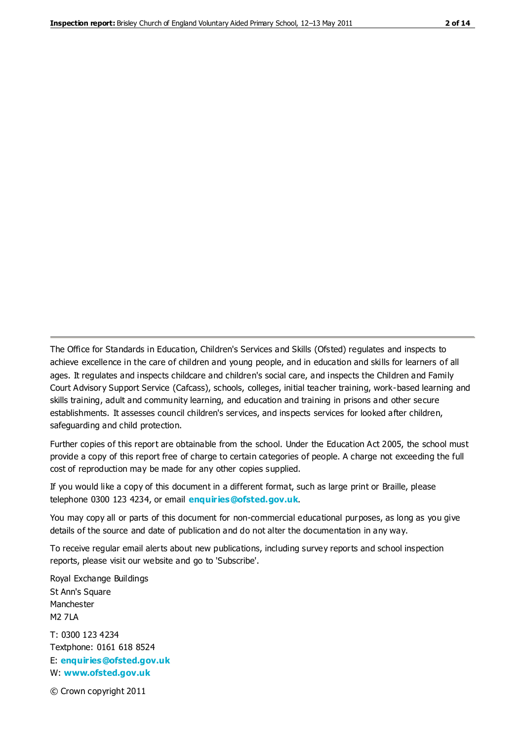The Office for Standards in Education, Children's Services and Skills (Ofsted) regulates and inspects to achieve excellence in the care of children and young people, and in education and skills for learners of all ages. It regulates and inspects childcare and children's social care, and inspects the Children and Family Court Advisory Support Service (Cafcass), schools, colleges, initial teacher training, work-based learning and skills training, adult and community learning, and education and training in prisons and other secure establishments. It assesses council children's services, and inspects services for looked after children, safeguarding and child protection.

Further copies of this report are obtainable from the school. Under the Education Act 2005, the school must provide a copy of this report free of charge to certain categories of people. A charge not exceeding the full cost of reproduction may be made for any other copies supplied.

If you would like a copy of this document in a different format, such as large print or Braille, please telephone 0300 123 4234, or email **[enquiries@ofsted.gov.uk](mailto:enquiries@ofsted.gov.uk)**.

You may copy all or parts of this document for non-commercial educational purposes, as long as you give details of the source and date of publication and do not alter the documentation in any way.

To receive regular email alerts about new publications, including survey reports and school inspection reports, please visit our website and go to 'Subscribe'.

Royal Exchange Buildings St Ann's Square Manchester M2 7LA T: 0300 123 4234 Textphone: 0161 618 8524 E: **[enquiries@ofsted.gov.uk](mailto:enquiries@ofsted.gov.uk)**

W: **[www.ofsted.gov.uk](http://www.ofsted.gov.uk/)**

© Crown copyright 2011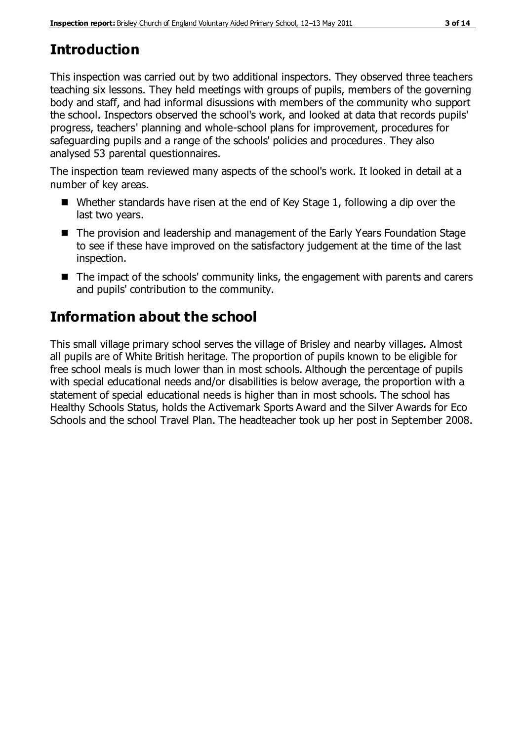# **Introduction**

This inspection was carried out by two additional inspectors. They observed three teachers teaching six lessons. They held meetings with groups of pupils, members of the governing body and staff, and had informal disussions with members of the community who support the school. Inspectors observed the school's work, and looked at data that records pupils' progress, teachers' planning and whole-school plans for improvement, procedures for safeguarding pupils and a range of the schools' policies and procedures. They also analysed 53 parental questionnaires.

The inspection team reviewed many aspects of the school's work. It looked in detail at a number of key areas.

- Whether standards have risen at the end of Key Stage 1, following a dip over the last two years.
- The provision and leadership and management of the Early Years Foundation Stage to see if these have improved on the satisfactory judgement at the time of the last inspection.
- The impact of the schools' community links, the engagement with parents and carers and pupils' contribution to the community.

# **Information about the school**

This small village primary school serves the village of Brisley and nearby villages. Almost all pupils are of White British heritage. The proportion of pupils known to be eligible for free school meals is much lower than in most schools. Although the percentage of pupils with special educational needs and/or disabilities is below average, the proportion with a statement of special educational needs is higher than in most schools. The school has Healthy Schools Status, holds the Activemark Sports Award and the Silver Awards for Eco Schools and the school Travel Plan. The headteacher took up her post in September 2008.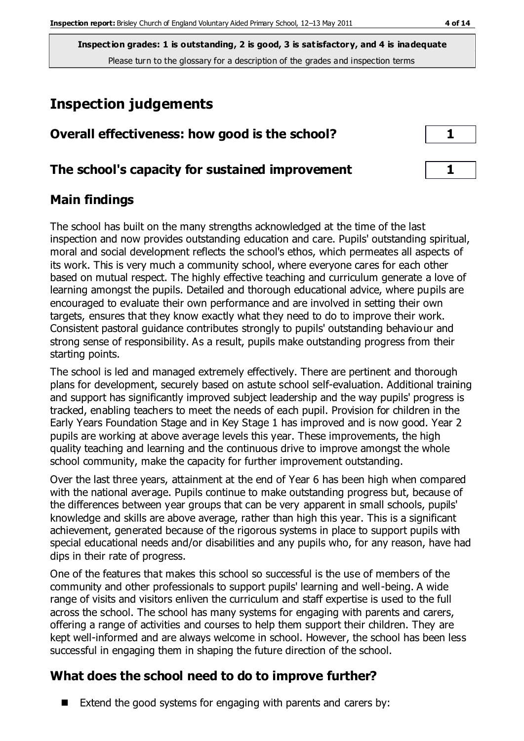# **Inspection judgements**

| Overall effectiveness: how good is the school? |  |  |  |
|------------------------------------------------|--|--|--|
|                                                |  |  |  |

## **The school's capacity for sustained improvement 1**

### **Main findings**

The school has built on the many strengths acknowledged at the time of the last inspection and now provides outstanding education and care. Pupils' outstanding spiritual, moral and social development reflects the school's ethos, which permeates all aspects of its work. This is very much a community school, where everyone cares for each other based on mutual respect. The highly effective teaching and curriculum generate a love of learning amongst the pupils. Detailed and thorough educational advice, where pupils are encouraged to evaluate their own performance and are involved in setting their own targets, ensures that they know exactly what they need to do to improve their work. Consistent pastoral guidance contributes strongly to pupils' outstanding behaviour and strong sense of responsibility. As a result, pupils make outstanding progress from their starting points.

The school is led and managed extremely effectively. There are pertinent and thorough plans for development, securely based on astute school self-evaluation. Additional training and support has significantly improved subject leadership and the way pupils' progress is tracked, enabling teachers to meet the needs of each pupil. Provision for children in the Early Years Foundation Stage and in Key Stage 1 has improved and is now good. Year 2 pupils are working at above average levels this year. These improvements, the high quality teaching and learning and the continuous drive to improve amongst the whole school community, make the capacity for further improvement outstanding.

Over the last three years, attainment at the end of Year 6 has been high when compared with the national average. Pupils continue to make outstanding progress but, because of the differences between year groups that can be very apparent in small schools, pupils' knowledge and skills are above average, rather than high this year. This is a significant achievement, generated because of the rigorous systems in place to support pupils with special educational needs and/or disabilities and any pupils who, for any reason, have had dips in their rate of progress.

One of the features that makes this school so successful is the use of members of the community and other professionals to support pupils' learning and well-being. A wide range of visits and visitors enliven the curriculum and staff expertise is used to the full across the school. The school has many systems for engaging with parents and carers, offering a range of activities and courses to help them support their children. They are kept well-informed and are always welcome in school. However, the school has been less successful in engaging them in shaping the future direction of the school.

# **What does the school need to do to improve further?**

Extend the good systems for engaging with parents and carers by: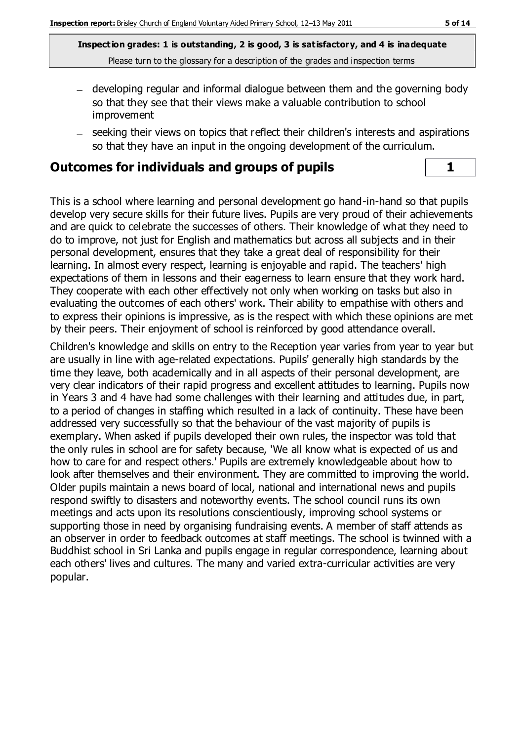- developing regular and informal dialogue between them and the governing body so that they see that their views make a valuable contribution to school improvement
- seeking their views on topics that reflect their children's interests and aspirations so that they have an input in the ongoing development of the curriculum.

## **Outcomes for individuals and groups of pupils 1**

This is a school where learning and personal development go hand-in-hand so that pupils develop very secure skills for their future lives. Pupils are very proud of their achievements and are quick to celebrate the successes of others. Their knowledge of what they need to do to improve, not just for English and mathematics but across all subjects and in their personal development, ensures that they take a great deal of responsibility for their learning. In almost every respect, learning is enjoyable and rapid. The teachers' high expectations of them in lessons and their eagerness to learn ensure that they work hard. They cooperate with each other effectively not only when working on tasks but also in evaluating the outcomes of each others' work. Their ability to empathise with others and to express their opinions is impressive, as is the respect with which these opinions are met by their peers. Their enjoyment of school is reinforced by good attendance overall.

Children's knowledge and skills on entry to the Reception year varies from year to year but are usually in line with age-related expectations. Pupils' generally high standards by the time they leave, both academically and in all aspects of their personal development, are very clear indicators of their rapid progress and excellent attitudes to learning. Pupils now in Years 3 and 4 have had some challenges with their learning and attitudes due, in part, to a period of changes in staffing which resulted in a lack of continuity. These have been addressed very successfully so that the behaviour of the vast majority of pupils is exemplary. When asked if pupils developed their own rules, the inspector was told that the only rules in school are for safety because, 'We all know what is expected of us and how to care for and respect others.' Pupils are extremely knowledgeable about how to look after themselves and their environment. They are committed to improving the world. Older pupils maintain a news board of local, national and international news and pupils respond swiftly to disasters and noteworthy events. The school council runs its own meetings and acts upon its resolutions conscientiously, improving school systems or supporting those in need by organising fundraising events. A member of staff attends as an observer in order to feedback outcomes at staff meetings. The school is twinned with a Buddhist school in Sri Lanka and pupils engage in regular correspondence, learning about each others' lives and cultures. The many and varied extra-curricular activities are very popular.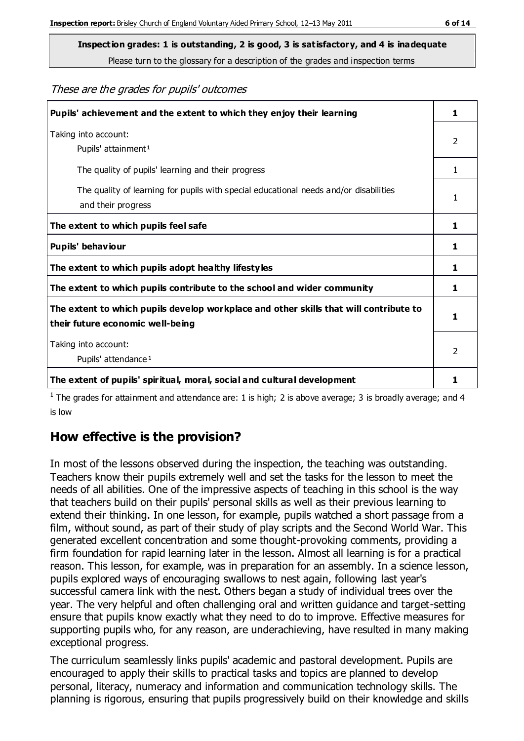Please turn to the glossary for a description of the grades and inspection terms

#### These are the grades for pupils' outcomes

| Pupils' achievement and the extent to which they enjoy their learning                                                     | 1              |
|---------------------------------------------------------------------------------------------------------------------------|----------------|
| Taking into account:<br>Pupils' attainment <sup>1</sup>                                                                   | $\overline{2}$ |
| The quality of pupils' learning and their progress                                                                        | 1.             |
| The quality of learning for pupils with special educational needs and/or disabilities<br>and their progress               | 1              |
| The extent to which pupils feel safe                                                                                      | 1              |
| Pupils' behaviour                                                                                                         | 1              |
| The extent to which pupils adopt healthy lifestyles                                                                       | 1              |
| The extent to which pupils contribute to the school and wider community                                                   | 1              |
| The extent to which pupils develop workplace and other skills that will contribute to<br>their future economic well-being | 1              |
| Taking into account:<br>Pupils' attendance <sup>1</sup>                                                                   | $\mathcal{P}$  |
| The extent of pupils' spiritual, moral, social and cultural development                                                   | 1              |

<sup>1</sup> The grades for attainment and attendance are: 1 is high; 2 is above average; 3 is broadly average; and 4 is low

# **How effective is the provision?**

In most of the lessons observed during the inspection, the teaching was outstanding. Teachers know their pupils extremely well and set the tasks for the lesson to meet the needs of all abilities. One of the impressive aspects of teaching in this school is the way that teachers build on their pupils' personal skills as well as their previous learning to extend their thinking. In one lesson, for example, pupils watched a short passage from a film, without sound, as part of their study of play scripts and the Second World War. This generated excellent concentration and some thought-provoking comments, providing a firm foundation for rapid learning later in the lesson. Almost all learning is for a practical reason. This lesson, for example, was in preparation for an assembly. In a science lesson, pupils explored ways of encouraging swallows to nest again, following last year's successful camera link with the nest. Others began a study of individual trees over the year. The very helpful and often challenging oral and written guidance and target-setting ensure that pupils know exactly what they need to do to improve. Effective measures for supporting pupils who, for any reason, are underachieving, have resulted in many making exceptional progress.

The curriculum seamlessly links pupils' academic and pastoral development. Pupils are encouraged to apply their skills to practical tasks and topics are planned to develop personal, literacy, numeracy and information and communication technology skills. The planning is rigorous, ensuring that pupils progressively build on their knowledge and skills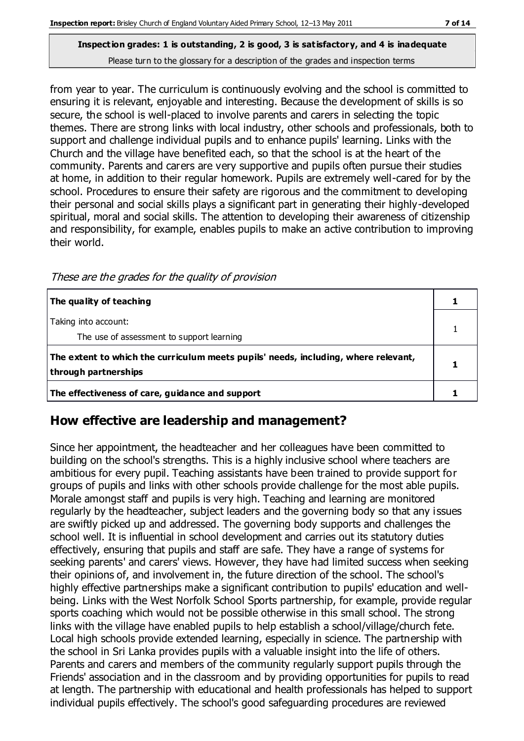from year to year. The curriculum is continuously evolving and the school is committed to ensuring it is relevant, enjoyable and interesting. Because the development of skills is so secure, the school is well-placed to involve parents and carers in selecting the topic themes. There are strong links with local industry, other schools and professionals, both to support and challenge individual pupils and to enhance pupils' learning. Links with the Church and the village have benefited each, so that the school is at the heart of the community. Parents and carers are very supportive and pupils often pursue their studies at home, in addition to their regular homework. Pupils are extremely well-cared for by the school. Procedures to ensure their safety are rigorous and the commitment to developing their personal and social skills plays a significant part in generating their highly-developed spiritual, moral and social skills. The attention to developing their awareness of citizenship and responsibility, for example, enables pupils to make an active contribution to improving their world.

| The quality of teaching                                                                                    |  |
|------------------------------------------------------------------------------------------------------------|--|
| Taking into account:                                                                                       |  |
| The use of assessment to support learning                                                                  |  |
| The extent to which the curriculum meets pupils' needs, including, where relevant,<br>through partnerships |  |
| The effectiveness of care, guidance and support                                                            |  |

These are the grades for the quality of provision

# **How effective are leadership and management?**

Since her appointment, the headteacher and her colleagues have been committed to building on the school's strengths. This is a highly inclusive school where teachers are ambitious for every pupil. Teaching assistants have been trained to provide support for groups of pupils and links with other schools provide challenge for the most able pupils. Morale amongst staff and pupils is very high. Teaching and learning are monitored regularly by the headteacher, subject leaders and the governing body so that any issues are swiftly picked up and addressed. The governing body supports and challenges the school well. It is influential in school development and carries out its statutory duties effectively, ensuring that pupils and staff are safe. They have a range of systems for seeking parents' and carers' views. However, they have had limited success when seeking their opinions of, and involvement in, the future direction of the school. The school's highly effective partnerships make a significant contribution to pupils' education and wellbeing. Links with the West Norfolk School Sports partnership, for example, provide regular sports coaching which would not be possible otherwise in this small school. The strong links with the village have enabled pupils to help establish a school/village/church fete. Local high schools provide extended learning, especially in science. The partnership with the school in Sri Lanka provides pupils with a valuable insight into the life of others. Parents and carers and members of the community regularly support pupils through the Friends' association and in the classroom and by providing opportunities for pupils to read at length. The partnership with educational and health professionals has helped to support individual pupils effectively. The school's good safeguarding procedures are reviewed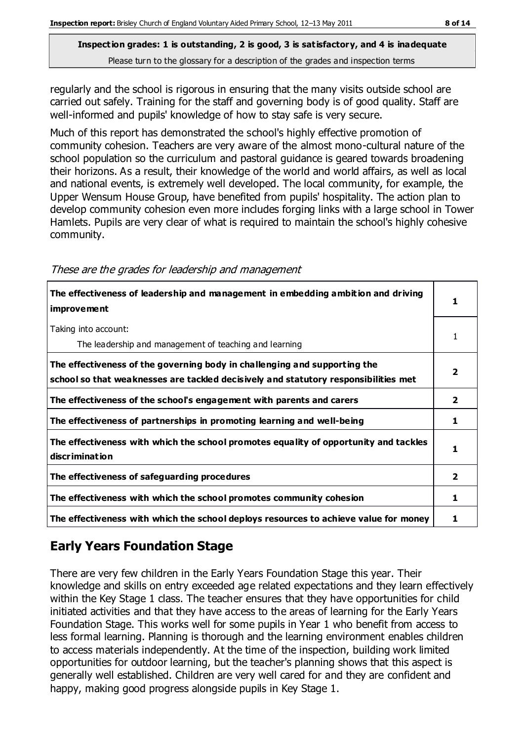regularly and the school is rigorous in ensuring that the many visits outside school are carried out safely. Training for the staff and governing body is of good quality. Staff are well-informed and pupils' knowledge of how to stay safe is very secure.

Much of this report has demonstrated the school's highly effective promotion of community cohesion. Teachers are very aware of the almost mono-cultural nature of the school population so the curriculum and pastoral guidance is geared towards broadening their horizons. As a result, their knowledge of the world and world affairs, as well as local and national events, is extremely well developed. The local community, for example, the Upper Wensum House Group, have benefited from pupils' hospitality. The action plan to develop community cohesion even more includes forging links with a large school in Tower Hamlets. Pupils are very clear of what is required to maintain the school's highly cohesive community.

| The effectiveness of leadership and management in embedding ambition and driving<br><i>improvement</i>                                                           |   |
|------------------------------------------------------------------------------------------------------------------------------------------------------------------|---|
| Taking into account:<br>The leadership and management of teaching and learning                                                                                   |   |
| The effectiveness of the governing body in challenging and supporting the<br>school so that weaknesses are tackled decisively and statutory responsibilities met |   |
| The effectiveness of the school's engagement with parents and carers                                                                                             | 2 |
| The effectiveness of partnerships in promoting learning and well-being                                                                                           | 1 |
| The effectiveness with which the school promotes equality of opportunity and tackles<br>discrimination                                                           |   |
| The effectiveness of safeguarding procedures                                                                                                                     | 2 |
| The effectiveness with which the school promotes community cohesion                                                                                              | 1 |
| The effectiveness with which the school deploys resources to achieve value for money                                                                             |   |

#### These are the grades for leadership and management

# **Early Years Foundation Stage**

There are very few children in the Early Years Foundation Stage this year. Their knowledge and skills on entry exceeded age related expectations and they learn effectively within the Key Stage 1 class. The teacher ensures that they have opportunities for child initiated activities and that they have access to the areas of learning for the Early Years Foundation Stage. This works well for some pupils in Year 1 who benefit from access to less formal learning. Planning is thorough and the learning environment enables children to access materials independently. At the time of the inspection, building work limited opportunities for outdoor learning, but the teacher's planning shows that this aspect is generally well established. Children are very well cared for and they are confident and happy, making good progress alongside pupils in Key Stage 1.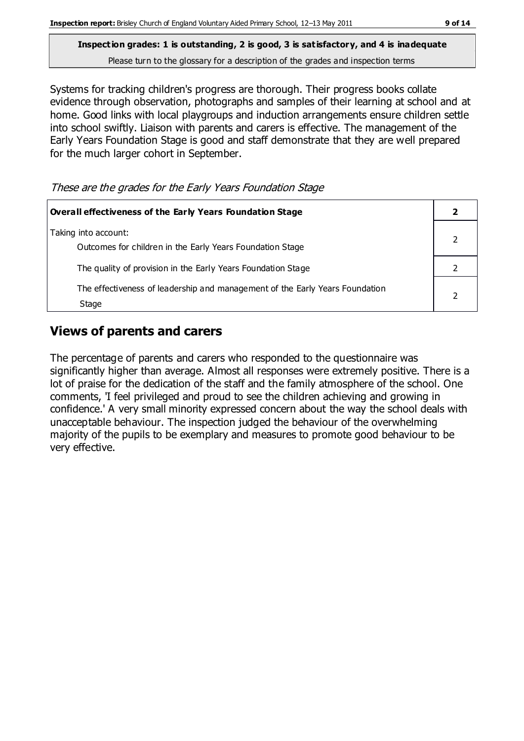Systems for tracking children's progress are thorough. Their progress books collate evidence through observation, photographs and samples of their learning at school and at home. Good links with local playgroups and induction arrangements ensure children settle into school swiftly. Liaison with parents and carers is effective. The management of the Early Years Foundation Stage is good and staff demonstrate that they are well prepared for the much larger cohort in September.

|  |  |  | These are the grades for the Early Years Foundation Stage |  |
|--|--|--|-----------------------------------------------------------|--|
|  |  |  |                                                           |  |

| Overall effectiveness of the Early Years Foundation Stage                             |  |
|---------------------------------------------------------------------------------------|--|
| Taking into account:<br>Outcomes for children in the Early Years Foundation Stage     |  |
| The quality of provision in the Early Years Foundation Stage                          |  |
| The effectiveness of leadership and management of the Early Years Foundation<br>Stage |  |

### **Views of parents and carers**

The percentage of parents and carers who responded to the questionnaire was significantly higher than average. Almost all responses were extremely positive. There is a lot of praise for the dedication of the staff and the family atmosphere of the school. One comments, 'I feel privileged and proud to see the children achieving and growing in confidence.' A very small minority expressed concern about the way the school deals with unacceptable behaviour. The inspection judged the behaviour of the overwhelming majority of the pupils to be exemplary and measures to promote good behaviour to be very effective.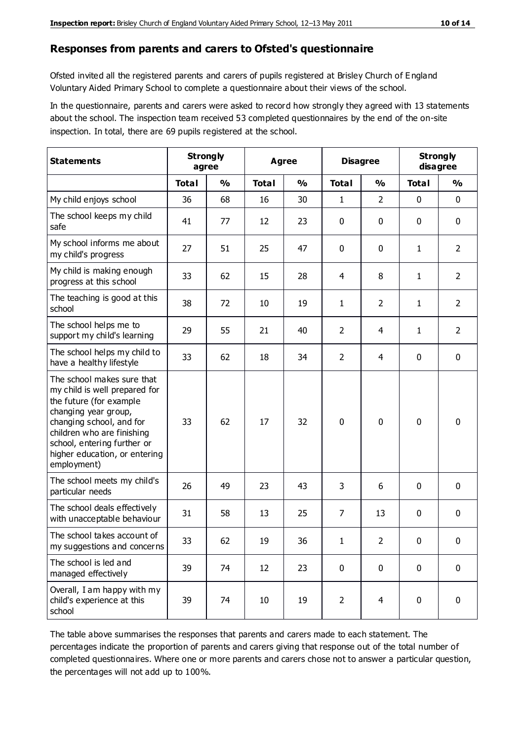#### **Responses from parents and carers to Ofsted's questionnaire**

Ofsted invited all the registered parents and carers of pupils registered at Brisley Church of E ngland Voluntary Aided Primary School to complete a questionnaire about their views of the school.

In the questionnaire, parents and carers were asked to record how strongly they agreed with 13 statements about the school. The inspection team received 53 completed questionnaires by the end of the on-site inspection. In total, there are 69 pupils registered at the school.

| <b>Statements</b>                                                                                                                                                                                                                                       |              | <b>Strongly</b><br>Agree<br>agree |              | <b>Disagree</b> |                | <b>Strongly</b><br>disagree |              |                |
|---------------------------------------------------------------------------------------------------------------------------------------------------------------------------------------------------------------------------------------------------------|--------------|-----------------------------------|--------------|-----------------|----------------|-----------------------------|--------------|----------------|
|                                                                                                                                                                                                                                                         | <b>Total</b> | $\frac{0}{0}$                     | <b>Total</b> | $\frac{0}{0}$   | <b>Total</b>   | $\frac{0}{0}$               | <b>Total</b> | $\frac{0}{0}$  |
| My child enjoys school                                                                                                                                                                                                                                  | 36           | 68                                | 16           | 30              | 1              | $\overline{2}$              | $\mathbf 0$  | $\mathbf 0$    |
| The school keeps my child<br>safe                                                                                                                                                                                                                       | 41           | 77                                | 12           | 23              | 0              | 0                           | $\mathbf 0$  | $\mathbf 0$    |
| My school informs me about<br>my child's progress                                                                                                                                                                                                       | 27           | 51                                | 25           | 47              | 0              | $\mathbf{0}$                | $\mathbf{1}$ | $\overline{2}$ |
| My child is making enough<br>progress at this school                                                                                                                                                                                                    | 33           | 62                                | 15           | 28              | 4              | 8                           | 1            | $\overline{2}$ |
| The teaching is good at this<br>school                                                                                                                                                                                                                  | 38           | 72                                | 10           | 19              | 1              | $\overline{2}$              | 1            | $\overline{2}$ |
| The school helps me to<br>support my child's learning                                                                                                                                                                                                   | 29           | 55                                | 21           | 40              | $\overline{2}$ | 4                           | 1            | $\overline{2}$ |
| The school helps my child to<br>have a healthy lifestyle                                                                                                                                                                                                | 33           | 62                                | 18           | 34              | $\overline{2}$ | $\overline{4}$              | $\mathbf 0$  | $\mathbf 0$    |
| The school makes sure that<br>my child is well prepared for<br>the future (for example<br>changing year group,<br>changing school, and for<br>children who are finishing<br>school, entering further or<br>higher education, or entering<br>employment) | 33           | 62                                | 17           | 32              | $\mathbf 0$    | $\mathbf{0}$                | $\mathbf 0$  | $\mathbf 0$    |
| The school meets my child's<br>particular needs                                                                                                                                                                                                         | 26           | 49                                | 23           | 43              | 3              | 6                           | $\mathbf 0$  | $\mathbf 0$    |
| The school deals effectively<br>with unacceptable behaviour                                                                                                                                                                                             | 31           | 58                                | 13           | 25              | 7              | 13                          | $\mathbf 0$  | 0              |
| The school takes account of<br>my suggestions and concerns                                                                                                                                                                                              | 33           | 62                                | 19           | 36              | 1              | $\overline{2}$              | 0            | 0              |
| The school is led and<br>managed effectively                                                                                                                                                                                                            | 39           | 74                                | 12           | 23              | $\pmb{0}$      | $\mathbf 0$                 | $\mathbf 0$  | $\mathbf 0$    |
| Overall, I am happy with my<br>child's experience at this<br>school                                                                                                                                                                                     | 39           | 74                                | 10           | 19              | $\overline{2}$ | $\overline{4}$              | $\mathbf 0$  | $\mathbf 0$    |

The table above summarises the responses that parents and carers made to each statement. The percentages indicate the proportion of parents and carers giving that response out of the total number of completed questionnaires. Where one or more parents and carers chose not to answer a particular question, the percentages will not add up to 100%.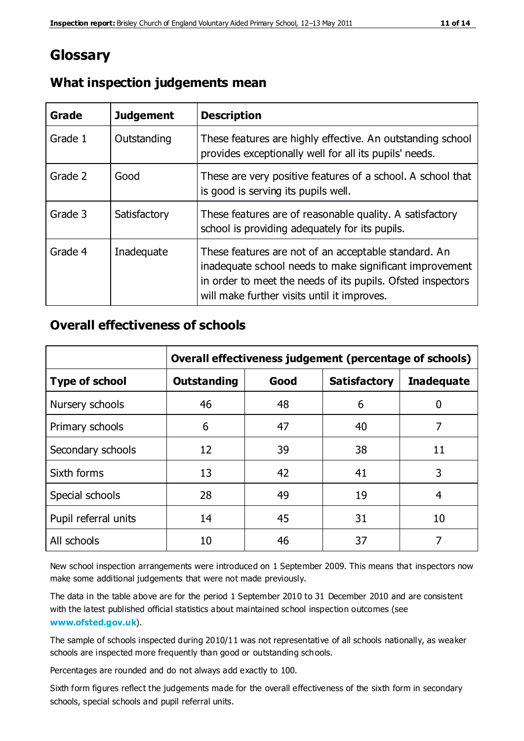# **Glossary**

| Grade   | <b>Judgement</b> | <b>Description</b>                                                                                                                                                                                                            |
|---------|------------------|-------------------------------------------------------------------------------------------------------------------------------------------------------------------------------------------------------------------------------|
| Grade 1 | Outstanding      | These features are highly effective. An outstanding school<br>provides exceptionally well for all its pupils' needs.                                                                                                          |
| Grade 2 | Good             | These are very positive features of a school. A school that<br>is good is serving its pupils well.                                                                                                                            |
| Grade 3 | Satisfactory     | These features are of reasonable quality. A satisfactory<br>school is providing adequately for its pupils.                                                                                                                    |
| Grade 4 | Inadequate       | These features are not of an acceptable standard. An<br>inadequate school needs to make significant improvement<br>in order to meet the needs of its pupils. Ofsted inspectors<br>will make further visits until it improves. |

### **What inspection judgements mean**

### **Overall effectiveness of schools**

|                       | Overall effectiveness judgement (percentage of schools) |      |                     |                   |  |
|-----------------------|---------------------------------------------------------|------|---------------------|-------------------|--|
| <b>Type of school</b> | <b>Outstanding</b>                                      | Good | <b>Satisfactory</b> | <b>Inadequate</b> |  |
| Nursery schools       | 46                                                      | 48   | 6                   |                   |  |
| Primary schools       | 6                                                       | 47   | 40                  | 7                 |  |
| Secondary schools     | 12                                                      | 39   | 38                  | 11                |  |
| Sixth forms           | 13                                                      | 42   | 41                  | 3                 |  |
| Special schools       | 28                                                      | 49   | 19                  | 4                 |  |
| Pupil referral units  | 14                                                      | 45   | 31                  | 10                |  |
| All schools           | 10                                                      | 46   | 37                  |                   |  |

New school inspection arrangements were introduced on 1 September 2009. This means that inspectors now make some additional judgements that were not made previously.

The data in the table above are for the period 1 September 2010 to 31 December 2010 and are consistent with the latest published official statistics about maintained school inspection outcomes (see **[www.ofsted.gov.uk](http://www.ofsted.gov.uk/)**).

The sample of schools inspected during 2010/11 was not representative of all schools nationally, as weaker schools are inspected more frequently than good or outstanding schools.

Percentages are rounded and do not always add exactly to 100.

Sixth form figures reflect the judgements made for the overall effectiveness of the sixth form in secondary schools, special schools and pupil referral units.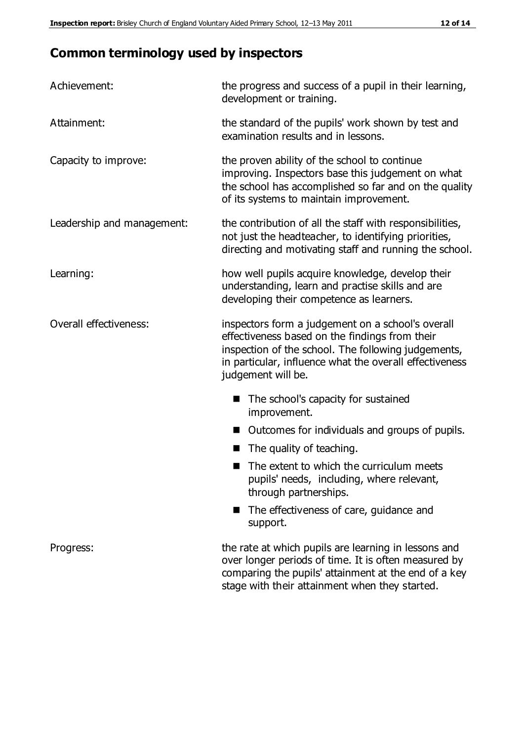# **Common terminology used by inspectors**

| Achievement:               | the progress and success of a pupil in their learning,<br>development or training.                                                                                                                                                          |  |  |
|----------------------------|---------------------------------------------------------------------------------------------------------------------------------------------------------------------------------------------------------------------------------------------|--|--|
| Attainment:                | the standard of the pupils' work shown by test and<br>examination results and in lessons.                                                                                                                                                   |  |  |
| Capacity to improve:       | the proven ability of the school to continue<br>improving. Inspectors base this judgement on what<br>the school has accomplished so far and on the quality<br>of its systems to maintain improvement.                                       |  |  |
| Leadership and management: | the contribution of all the staff with responsibilities,<br>not just the headteacher, to identifying priorities,<br>directing and motivating staff and running the school.                                                                  |  |  |
| Learning:                  | how well pupils acquire knowledge, develop their<br>understanding, learn and practise skills and are<br>developing their competence as learners.                                                                                            |  |  |
| Overall effectiveness:     | inspectors form a judgement on a school's overall<br>effectiveness based on the findings from their<br>inspection of the school. The following judgements,<br>in particular, influence what the overall effectiveness<br>judgement will be. |  |  |
|                            | The school's capacity for sustained<br>improvement.                                                                                                                                                                                         |  |  |
|                            | Outcomes for individuals and groups of pupils.                                                                                                                                                                                              |  |  |
|                            | The quality of teaching.                                                                                                                                                                                                                    |  |  |
|                            | The extent to which the curriculum meets<br>pupils' needs, including, where relevant,<br>through partnerships.                                                                                                                              |  |  |
|                            | The effectiveness of care, guidance and<br>support.                                                                                                                                                                                         |  |  |
| Progress:                  | the rate at which pupils are learning in lessons and<br>over longer periods of time. It is often measured by<br>comparing the pupils' attainment at the end of a key                                                                        |  |  |

stage with their attainment when they started.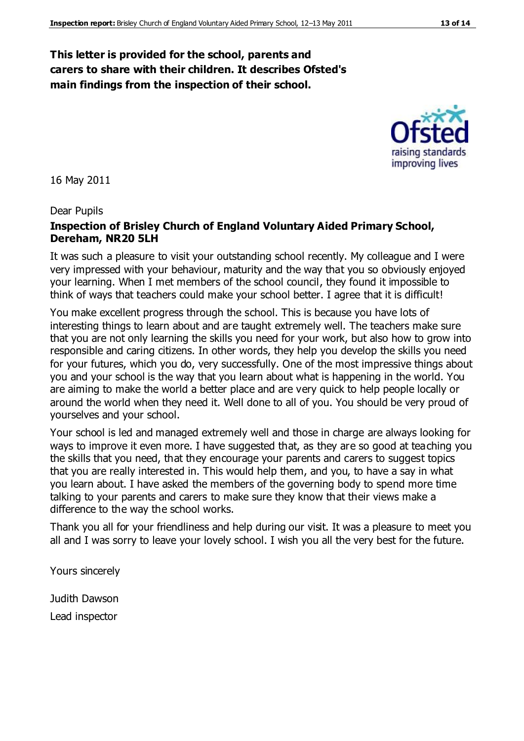### **This letter is provided for the school, parents and carers to share with their children. It describes Ofsted's main findings from the inspection of their school.**

16 May 2011

#### Dear Pupils

#### **Inspection of Brisley Church of England Voluntary Aided Primary School, Dereham, NR20 5LH**

It was such a pleasure to visit your outstanding school recently. My colleague and I were very impressed with your behaviour, maturity and the way that you so obviously enjoyed your learning. When I met members of the school council, they found it impossible to think of ways that teachers could make your school better. I agree that it is difficult!

You make excellent progress through the school. This is because you have lots of interesting things to learn about and are taught extremely well. The teachers make sure that you are not only learning the skills you need for your work, but also how to grow into responsible and caring citizens. In other words, they help you develop the skills you need for your futures, which you do, very successfully. One of the most impressive things about you and your school is the way that you learn about what is happening in the world. You are aiming to make the world a better place and are very quick to help people locally or around the world when they need it. Well done to all of you. You should be very proud of yourselves and your school.

Your school is led and managed extremely well and those in charge are always looking for ways to improve it even more. I have suggested that, as they are so good at teaching you the skills that you need, that they encourage your parents and carers to suggest topics that you are really interested in. This would help them, and you, to have a say in what you learn about. I have asked the members of the governing body to spend more time talking to your parents and carers to make sure they know that their views make a difference to the way the school works.

Thank you all for your friendliness and help during our visit. It was a pleasure to meet you all and I was sorry to leave your lovely school. I wish you all the very best for the future.

Yours sincerely

Judith Dawson Lead inspector